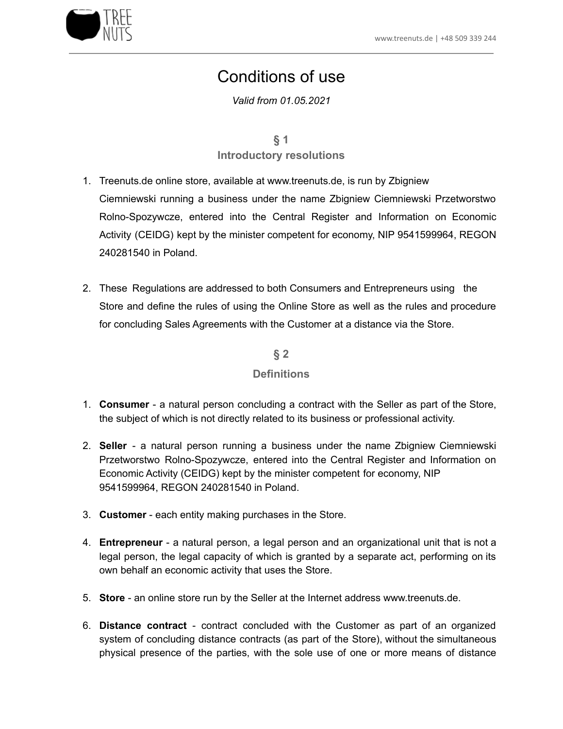

# Conditions of use

*Valid from 01.05.2021*

**§ 1 Introductory resolutions**

- 1. Treenuts.de online store, available at www.treenuts.de, is run by Zbigniew Ciemniewski running a business under the name Zbigniew Ciemniewski Przetworstwo Rolno-Spozywcze, entered into the Central Register and Information on Economic Activity (CEIDG) kept by the minister competent for economy, NIP 9541599964, REGON 240281540 in Poland.
- 2. These Regulations are addressed to both Consumers and Entrepreneurs using the Store and define the rules of using the Online Store as well as the rules and procedure for concluding Sales Agreements with the Customer at a distance via the Store.

**§ 2**

#### **Definitions**

- 1. **Consumer** a natural person concluding a contract with the Seller as part of the Store, the subject of which is not directly related to its business or professional activity.
- 2. **Seller** a natural person running a business under the name Zbigniew Ciemniewski Przetworstwo Rolno-Spozywcze, entered into the Central Register and Information on Economic Activity (CEIDG) kept by the minister competent for economy, NIP 9541599964, REGON 240281540 in Poland.
- 3. **Customer** each entity making purchases in the Store.
- 4. **Entrepreneur** a natural person, a legal person and an organizational unit that is not a legal person, the legal capacity of which is granted by a separate act, performing on its own behalf an economic activity that uses the Store.
- 5. **Store** an online store run by the Seller at the Internet address www.treenuts.de.
- 6. **Distance contract** contract concluded with the Customer as part of an organized system of concluding distance contracts (as part of the Store), without the simultaneous physical presence of the parties, with the sole use of one or more means of distance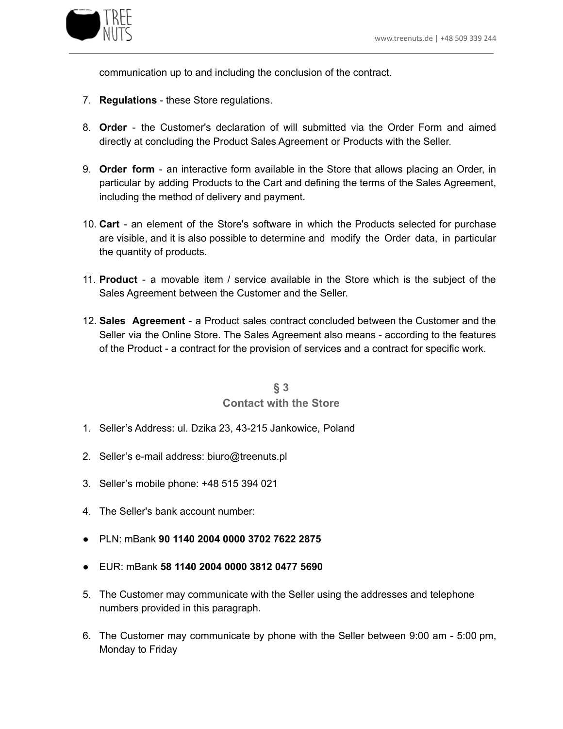

communication up to and including the conclusion of the contract.

- 7. **Regulations** these Store regulations.
- 8. **Order** the Customer's declaration of will submitted via the Order Form and aimed directly at concluding the Product Sales Agreement or Products with the Seller.
- 9. **Order form** an interactive form available in the Store that allows placing an Order, in particular by adding Products to the Cart and defining the terms of the Sales Agreement, including the method of delivery and payment.
- 10. **Cart** an element of the Store's software in which the Products selected for purchase are visible, and it is also possible to determine and modify the Order data, in particular the quantity of products.
- 11. **Product** a movable item / service available in the Store which is the subject of the Sales Agreement between the Customer and the Seller.
- 12. **Sales Agreement** a Product sales contract concluded between the Customer and the Seller via the Online Store. The Sales Agreement also means - according to the features of the Product - a contract for the provision of services and a contract for specific work.

#### **§ 3 Contact with the Store**

- 1. Seller's Address: ul. Dzika 23, 43-215 Jankowice, Poland
- 2. Seller's e-mail address: biuro@treenuts.pl
- 3. Seller's mobile phone: +48 515 394 021
- 4. The Seller's bank account number:
- PLN: mBank **90 1140 2004 0000 3702 7622 2875**
- EUR: mBank **58 1140 2004 0000 3812 0477 5690**
- 5. The Customer may communicate with the Seller using the addresses and telephone numbers provided in this paragraph.
- 6. The Customer may communicate by phone with the Seller between 9:00 am 5:00 pm, Monday to Friday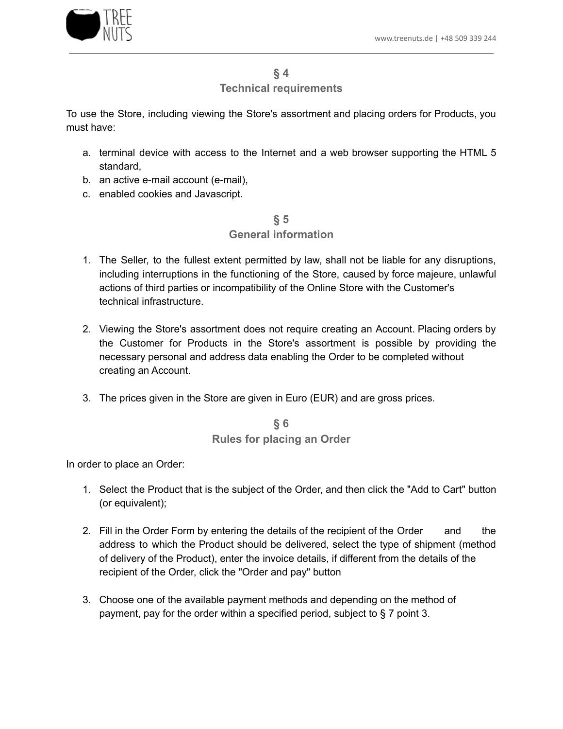

#### **Technical requirements**

To use the Store, including viewing the Store's assortment and placing orders for Products, you must have:

- a. terminal device with access to the Internet and a web browser supporting the HTML 5 standard,
- b. an active e-mail account (e-mail),
- c. enabled cookies and Javascript.

## **§ 5**

## **General information**

- 1. The Seller, to the fullest extent permitted by law, shall not be liable for any disruptions, including interruptions in the functioning of the Store, caused by force majeure, unlawful actions of third parties or incompatibility of the Online Store with the Customer's technical infrastructure.
- 2. Viewing the Store's assortment does not require creating an Account. Placing orders by the Customer for Products in the Store's assortment is possible by providing the necessary personal and address data enabling the Order to be completed without creating an Account.
- 3. The prices given in the Store are given in Euro (EUR) and are gross prices.

#### **§ 6 Rules for placing an Order**

In order to place an Order:

- 1. Select the Product that is the subject of the Order, and then click the "Add to Cart" button (or equivalent);
- 2. Fill in the Order Form by entering the details of the recipient of the Order and the address to which the Product should be delivered, select the type of shipment (method of delivery of the Product), enter the invoice details, if different from the details of the recipient of the Order, click the "Order and pay" button
- 3. Choose one of the available payment methods and depending on the method of payment, pay for the order within a specified period, subject to § 7 point 3.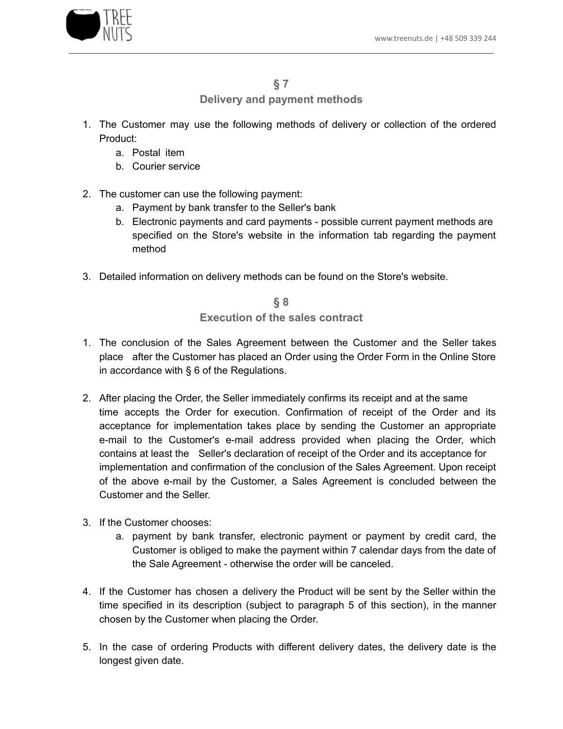

#### **§ 7**

## **Delivery and payment methods**

- 1. The Customer may use the following methods of delivery or collection of the ordered Product:
	- a. Postal item
	- b. Courier service
- 2. The customer can use the following payment:
	- a. Payment by bank transfer to the Seller's bank
	- b. Electronic payments and card payments possible current payment methods are specified on the Store's website in the information tab regarding the payment method
- 3. Detailed information on delivery methods can be found on the Store's website.

**§ 8 Execution of the sales contract**

- 1. The conclusion of the Sales Agreement between the Customer and the Seller takes place after the Customer has placed an Order using the Order Form in the Online Store in accordance with § 6 of the Regulations.
- 2. After placing the Order, the Seller immediately confirms its receipt and at the same time accepts the Order for execution. Confirmation of receipt of the Order and its acceptance for implementation takes place by sending the Customer an appropriate e-mail to the Customer's e-mail address provided when placing the Order, which contains at least the Seller's declaration of receipt of the Order and its acceptance for implementation and confirmation of the conclusion of the Sales Agreement. Upon receipt of the above e-mail by the Customer, a Sales Agreement is concluded between the Customer and the Seller.
- 3. If the Customer chooses:
	- a. payment by bank transfer, electronic payment or payment by credit card, the Customer is obliged to make the payment within 7 calendar days from the date of the Sale Agreement - otherwise the order will be canceled.
- 4. If the Customer has chosen a delivery the Product will be sent by the Seller within the time specified in its description (subject to paragraph 5 of this section), in the manner chosen by the Customer when placing the Order.
- 5. In the case of ordering Products with different delivery dates, the delivery date is the longest given date.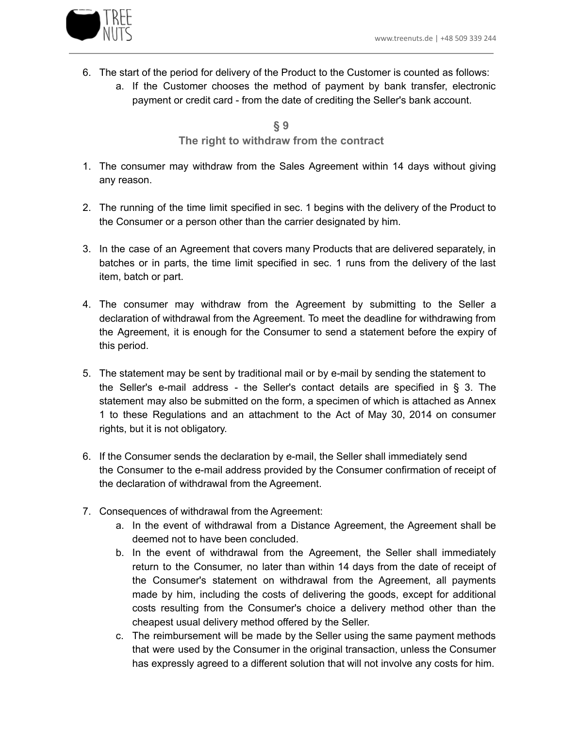

- 6. The start of the period for delivery of the Product to the Customer is counted as follows:
	- a. If the Customer chooses the method of payment by bank transfer, electronic payment or credit card - from the date of crediting the Seller's bank account.

**§ 9 The right to withdraw from the contract**

- 1. The consumer may withdraw from the Sales Agreement within 14 days without giving any reason.
- 2. The running of the time limit specified in sec. 1 begins with the delivery of the Product to the Consumer or a person other than the carrier designated by him.
- 3. In the case of an Agreement that covers many Products that are delivered separately, in batches or in parts, the time limit specified in sec. 1 runs from the delivery of the last item, batch or part.
- 4. The consumer may withdraw from the Agreement by submitting to the Seller a declaration of withdrawal from the Agreement. To meet the deadline for withdrawing from the Agreement, it is enough for the Consumer to send a statement before the expiry of this period.
- 5. The statement may be sent by traditional mail or by e-mail by sending the statement to the Seller's e-mail address - the Seller's contact details are specified in § 3. The statement may also be submitted on the form, a specimen of which is attached as Annex 1 to these Regulations and an attachment to the Act of May 30, 2014 on consumer rights, but it is not obligatory.
- 6. If the Consumer sends the declaration by e-mail, the Seller shall immediately send the Consumer to the e-mail address provided by the Consumer confirmation of receipt of the declaration of withdrawal from the Agreement.
- 7. Consequences of withdrawal from the Agreement:
	- a. In the event of withdrawal from a Distance Agreement, the Agreement shall be deemed not to have been concluded.
	- b. In the event of withdrawal from the Agreement, the Seller shall immediately return to the Consumer, no later than within 14 days from the date of receipt of the Consumer's statement on withdrawal from the Agreement, all payments made by him, including the costs of delivering the goods, except for additional costs resulting from the Consumer's choice a delivery method other than the cheapest usual delivery method offered by the Seller.
	- c. The reimbursement will be made by the Seller using the same payment methods that were used by the Consumer in the original transaction, unless the Consumer has expressly agreed to a different solution that will not involve any costs for him.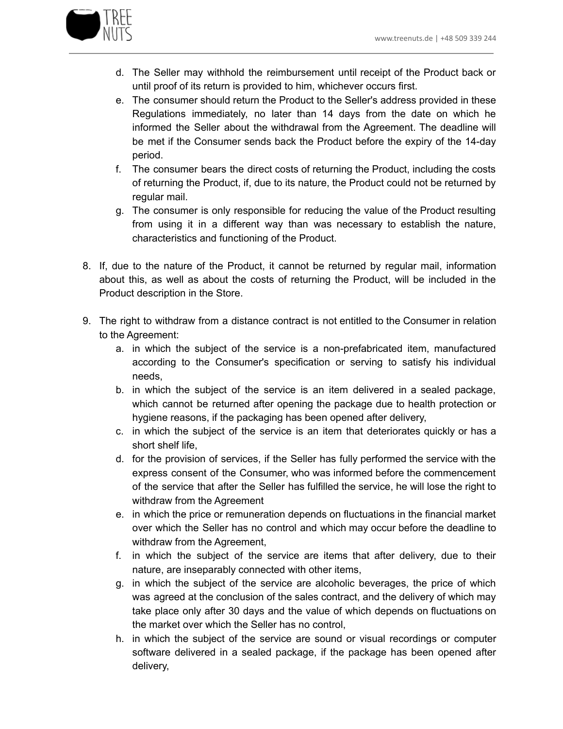

- d. The Seller may withhold the reimbursement until receipt of the Product back or until proof of its return is provided to him, whichever occurs first.
- e. The consumer should return the Product to the Seller's address provided in these Regulations immediately, no later than 14 days from the date on which he informed the Seller about the withdrawal from the Agreement. The deadline will be met if the Consumer sends back the Product before the expiry of the 14-day period.
- f. The consumer bears the direct costs of returning the Product, including the costs of returning the Product, if, due to its nature, the Product could not be returned by regular mail.
- g. The consumer is only responsible for reducing the value of the Product resulting from using it in a different way than was necessary to establish the nature, characteristics and functioning of the Product.
- 8. If, due to the nature of the Product, it cannot be returned by regular mail, information about this, as well as about the costs of returning the Product, will be included in the Product description in the Store.
- 9. The right to withdraw from a distance contract is not entitled to the Consumer in relation to the Agreement:
	- a. in which the subject of the service is a non-prefabricated item, manufactured according to the Consumer's specification or serving to satisfy his individual needs,
	- b. in which the subject of the service is an item delivered in a sealed package, which cannot be returned after opening the package due to health protection or hygiene reasons, if the packaging has been opened after delivery,
	- c. in which the subject of the service is an item that deteriorates quickly or has a short shelf life,
	- d. for the provision of services, if the Seller has fully performed the service with the express consent of the Consumer, who was informed before the commencement of the service that after the Seller has fulfilled the service, he will lose the right to withdraw from the Agreement
	- e. in which the price or remuneration depends on fluctuations in the financial market over which the Seller has no control and which may occur before the deadline to withdraw from the Agreement,
	- f. in which the subject of the service are items that after delivery, due to their nature, are inseparably connected with other items,
	- g. in which the subject of the service are alcoholic beverages, the price of which was agreed at the conclusion of the sales contract, and the delivery of which may take place only after 30 days and the value of which depends on fluctuations on the market over which the Seller has no control,
	- h. in which the subject of the service are sound or visual recordings or computer software delivered in a sealed package, if the package has been opened after delivery,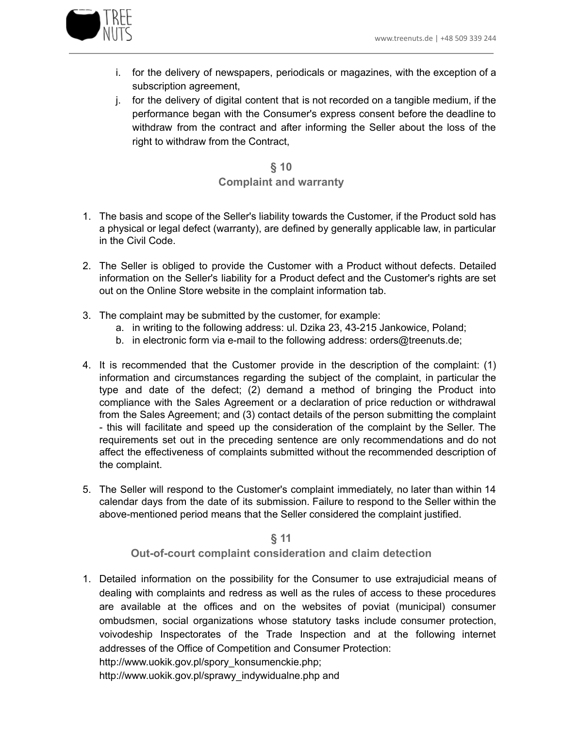

- i. for the delivery of newspapers, periodicals or magazines, with the exception of a subscription agreement,
- j. for the delivery of digital content that is not recorded on a tangible medium, if the performance began with the Consumer's express consent before the deadline to withdraw from the contract and after informing the Seller about the loss of the right to withdraw from the Contract,

## **§ 10 Complaint and warranty**

- 1. The basis and scope of the Seller's liability towards the Customer, if the Product sold has a physical or legal defect (warranty), are defined by generally applicable law, in particular in the Civil Code.
- 2. The Seller is obliged to provide the Customer with a Product without defects. Detailed information on the Seller's liability for a Product defect and the Customer's rights are set out on the Online Store website in the complaint information tab.
- 3. The complaint may be submitted by the customer, for example:
	- a. in writing to the following address: ul. Dzika 23, 43-215 Jankowice, Poland;
	- b. in electronic form via e-mail to the following address: orders@treenuts.de;
- 4. It is recommended that the Customer provide in the description of the complaint: (1) information and circumstances regarding the subject of the complaint, in particular the type and date of the defect; (2) demand a method of bringing the Product into compliance with the Sales Agreement or a declaration of price reduction or withdrawal from the Sales Agreement; and (3) contact details of the person submitting the complaint - this will facilitate and speed up the consideration of the complaint by the Seller. The requirements set out in the preceding sentence are only recommendations and do not affect the effectiveness of complaints submitted without the recommended description of the complaint.
- 5. The Seller will respond to the Customer's complaint immediately, no later than within 14 calendar days from the date of its submission. Failure to respond to the Seller within the above-mentioned period means that the Seller considered the complaint justified.

**§ 11 Out-of-court complaint consideration and claim detection**

1. Detailed information on the possibility for the Consumer to use extrajudicial means of dealing with complaints and redress as well as the rules of access to these procedures are available at the offices and on the websites of poviat (municipal) consumer ombudsmen, social organizations whose statutory tasks include consumer protection, voivodeship Inspectorates of the Trade Inspection and at the following internet addresses of the Office of Competition and Consumer Protection:

http://www.uokik.gov.pl/spory\_konsumenckie.php;

http://www.uokik.gov.pl/sprawy\_indywidualne.php and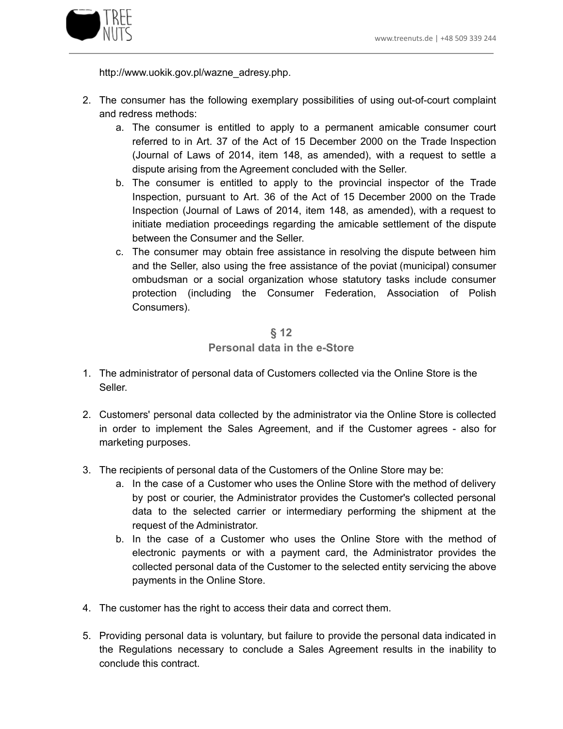

http://www.uokik.gov.pl/wazne\_adresy.php.

- 2. The consumer has the following exemplary possibilities of using out-of-court complaint and redress methods:
	- a. The consumer is entitled to apply to a permanent amicable consumer court referred to in Art. 37 of the Act of 15 December 2000 on the Trade Inspection (Journal of Laws of 2014, item 148, as amended), with a request to settle a dispute arising from the Agreement concluded with the Seller.
	- b. The consumer is entitled to apply to the provincial inspector of the Trade Inspection, pursuant to Art. 36 of the Act of 15 December 2000 on the Trade Inspection (Journal of Laws of 2014, item 148, as amended), with a request to initiate mediation proceedings regarding the amicable settlement of the dispute between the Consumer and the Seller.
	- c. The consumer may obtain free assistance in resolving the dispute between him and the Seller, also using the free assistance of the poviat (municipal) consumer ombudsman or a social organization whose statutory tasks include consumer protection (including the Consumer Federation, Association of Polish Consumers).

#### **§ 12 Personal data in the e-Store**

- 1. The administrator of personal data of Customers collected via the Online Store is the Seller.
- 2. Customers' personal data collected by the administrator via the Online Store is collected in order to implement the Sales Agreement, and if the Customer agrees - also for marketing purposes.
- 3. The recipients of personal data of the Customers of the Online Store may be:
	- a. In the case of a Customer who uses the Online Store with the method of delivery by post or courier, the Administrator provides the Customer's collected personal data to the selected carrier or intermediary performing the shipment at the request of the Administrator.
	- b. In the case of a Customer who uses the Online Store with the method of electronic payments or with a payment card, the Administrator provides the collected personal data of the Customer to the selected entity servicing the above payments in the Online Store.
- 4. The customer has the right to access their data and correct them.
- 5. Providing personal data is voluntary, but failure to provide the personal data indicated in the Regulations necessary to conclude a Sales Agreement results in the inability to conclude this contract.